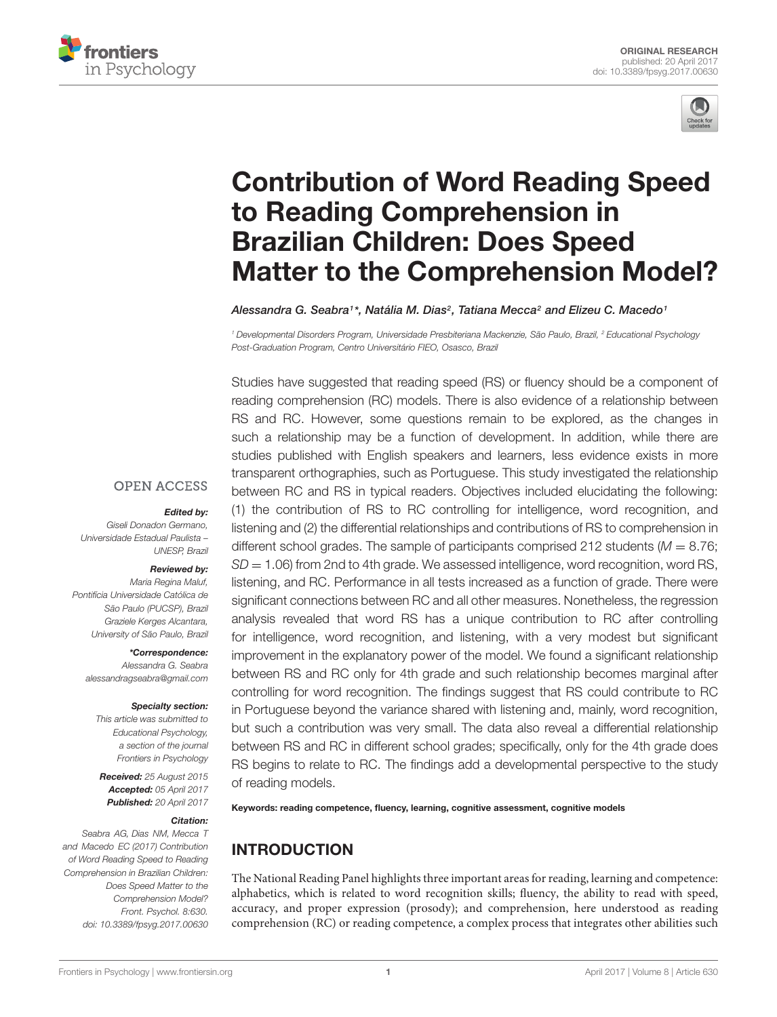



# Contribution of Word Reading Speed to Reading Comprehension in Brazilian Children: Does Speed [Matter to the Comprehension Model?](http://journal.frontiersin.org/article/10.3389/fpsyg.2017.00630/abstract)

[Alessandra G. Seabra](http://loop.frontiersin.org/people/126844/overview)1\*, [Natália M. Dias](http://loop.frontiersin.org/people/169238/overview)<sup>2</sup>, Tatiana Mecca<sup>2</sup> and [Elizeu C. Macedo](http://loop.frontiersin.org/people/164698/overview)1

<sup>1</sup> Developmental Disorders Program, Universidade Presbiteriana Mackenzie, São Paulo, Brazil, <sup>2</sup> Educational Psychology Post-Graduation Program, Centro Universitário FIEO, Osasco, Brazil

Studies have suggested that reading speed (RS) or fluency should be a component of reading comprehension (RC) models. There is also evidence of a relationship between RS and RC. However, some questions remain to be explored, as the changes in such a relationship may be a function of development. In addition, while there are studies published with English speakers and learners, less evidence exists in more transparent orthographies, such as Portuguese. This study investigated the relationship between RC and RS in typical readers. Objectives included elucidating the following: (1) the contribution of RS to RC controlling for intelligence, word recognition, and listening and (2) the differential relationships and contributions of RS to comprehension in different school grades. The sample of participants comprised 212 students ( $M = 8.76$ ;  $SD = 1.06$ ) from 2nd to 4th grade. We assessed intelligence, word recognition, word RS, listening, and RC. Performance in all tests increased as a function of grade. There were significant connections between RC and all other measures. Nonetheless, the regression analysis revealed that word RS has a unique contribution to RC after controlling for intelligence, word recognition, and listening, with a very modest but significant improvement in the explanatory power of the model. We found a significant relationship between RS and RC only for 4th grade and such relationship becomes marginal after controlling for word recognition. The findings suggest that RS could contribute to RC in Portuguese beyond the variance shared with listening and, mainly, word recognition, but such a contribution was very small. The data also reveal a differential relationship between RS and RC in different school grades; specifically, only for the 4th grade does RS begins to relate to RC. The findings add a developmental perspective to the study of reading models.

Keywords: reading competence, fluency, learning, cognitive assessment, cognitive models

# INTRODUCTION

The National Reading Panel highlights three important areas for reading, learning and competence: alphabetics, which is related to word recognition skills; fluency, the ability to read with speed, accuracy, and proper expression (prosody); and comprehension, here understood as reading comprehension (RC) or reading competence, a complex process that integrates other abilities such

#### **OPEN ACCESS**

#### Edited by:

Giseli Donadon Germano, Universidade Estadual Paulista – UNESP, Brazil

#### Reviewed by:

Maria Regina Maluf, Pontifícia Universidade Católica de São Paulo (PLICSP), Brazil Graziele Kerges Alcantara, University of São Paulo, Brazil

\*Correspondence: Alessandra G. Seabra alessandragseabra@gmail.com

#### Specialty section:

This article was submitted to Educational Psychology, a section of the journal Frontiers in Psychology

Received: 25 August 2015 Accepted: 05 April 2017 Published: 20 April 2017

#### Citation:

Seabra AG, Dias NM, Mecca T and Macedo EC (2017) Contribution of Word Reading Speed to Reading Comprehension in Brazilian Children: Does Speed Matter to the Comprehension Model? Front. Psychol. 8:630. doi: [10.3389/fpsyg.2017.00630](https://doi.org/10.3389/fpsyg.2017.00630)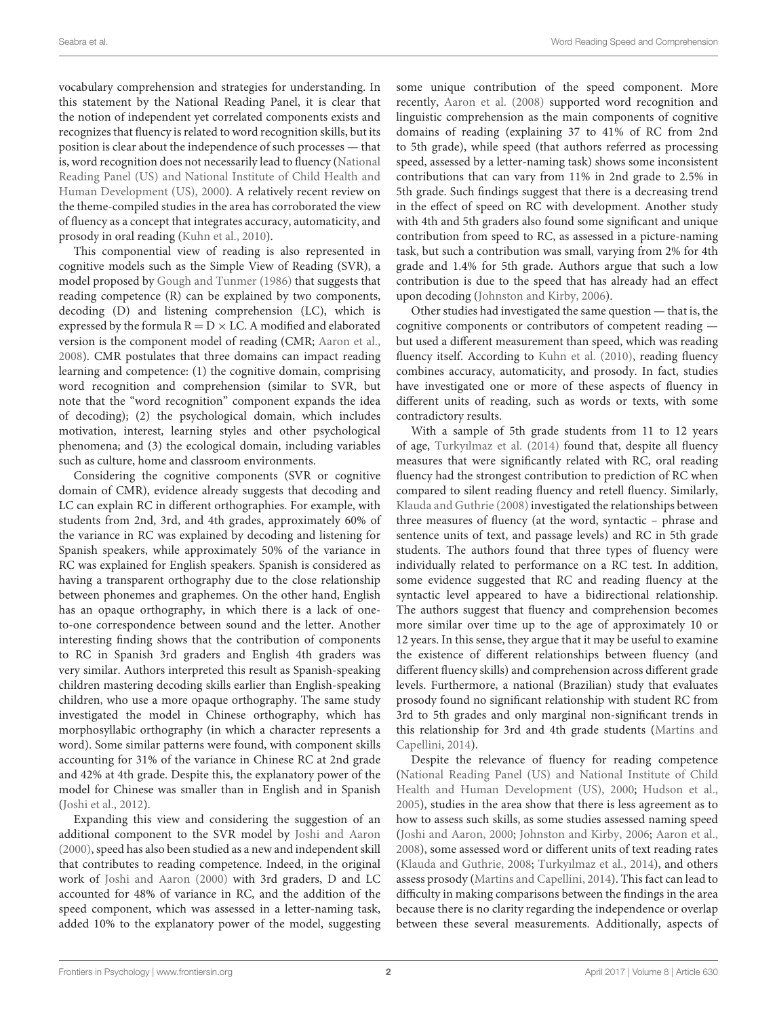vocabulary comprehension and strategies for understanding. In this statement by the National Reading Panel, it is clear that the notion of independent yet correlated components exists and recognizes that fluency is related to word recognition skills, but its position is clear about the independence of such processes — that is, word recognition does not necessarily lead to fluency [\(National](#page-6-0) [Reading Panel \(US\) and National Institute of Child Health and](#page-6-0) [Human Development \(US\),](#page-6-0) [2000\)](#page-6-0). A relatively recent review on the theme-compiled studies in the area has corroborated the view of fluency as a concept that integrates accuracy, automaticity, and prosody in oral reading [\(Kuhn et al.,](#page-6-1) [2010\)](#page-6-1).

This componential view of reading is also represented in cognitive models such as the Simple View of Reading (SVR), a model proposed by [Gough and Tunmer](#page-6-2) [\(1986\)](#page-6-2) that suggests that reading competence (R) can be explained by two components, decoding (D) and listening comprehension (LC), which is expressed by the formula  $R = D \times LC$ . A modified and elaborated version is the component model of reading (CMR; [Aaron et al.,](#page-6-3) [2008\)](#page-6-3). CMR postulates that three domains can impact reading learning and competence: (1) the cognitive domain, comprising word recognition and comprehension (similar to SVR, but note that the "word recognition" component expands the idea of decoding); (2) the psychological domain, which includes motivation, interest, learning styles and other psychological phenomena; and (3) the ecological domain, including variables such as culture, home and classroom environments.

Considering the cognitive components (SVR or cognitive domain of CMR), evidence already suggests that decoding and LC can explain RC in different orthographies. For example, with students from 2nd, 3rd, and 4th grades, approximately 60% of the variance in RC was explained by decoding and listening for Spanish speakers, while approximately 50% of the variance in RC was explained for English speakers. Spanish is considered as having a transparent orthography due to the close relationship between phonemes and graphemes. On the other hand, English has an opaque orthography, in which there is a lack of oneto-one correspondence between sound and the letter. Another interesting finding shows that the contribution of components to RC in Spanish 3rd graders and English 4th graders was very similar. Authors interpreted this result as Spanish-speaking children mastering decoding skills earlier than English-speaking children, who use a more opaque orthography. The same study investigated the model in Chinese orthography, which has morphosyllabic orthography (in which a character represents a word). Some similar patterns were found, with component skills accounting for 31% of the variance in Chinese RC at 2nd grade and 42% at 4th grade. Despite this, the explanatory power of the model for Chinese was smaller than in English and in Spanish [\(Joshi et al.,](#page-6-4) [2012\)](#page-6-4).

Expanding this view and considering the suggestion of an additional component to the SVR model by [Joshi and Aaron](#page-6-5) [\(2000\)](#page-6-5), speed has also been studied as a new and independent skill that contributes to reading competence. Indeed, in the original work of [Joshi and Aaron](#page-6-5) [\(2000\)](#page-6-5) with 3rd graders, D and LC accounted for 48% of variance in RC, and the addition of the speed component, which was assessed in a letter-naming task, added 10% to the explanatory power of the model, suggesting some unique contribution of the speed component. More recently, [Aaron et al.](#page-6-3) [\(2008\)](#page-6-3) supported word recognition and linguistic comprehension as the main components of cognitive domains of reading (explaining 37 to 41% of RC from 2nd to 5th grade), while speed (that authors referred as processing speed, assessed by a letter-naming task) shows some inconsistent contributions that can vary from 11% in 2nd grade to 2.5% in 5th grade. Such findings suggest that there is a decreasing trend in the effect of speed on RC with development. Another study with 4th and 5th graders also found some significant and unique contribution from speed to RC, as assessed in a picture-naming task, but such a contribution was small, varying from 2% for 4th grade and 1.4% for 5th grade. Authors argue that such a low contribution is due to the speed that has already had an effect upon decoding [\(Johnston and Kirby,](#page-6-6) [2006\)](#page-6-6).

Other studies had investigated the same question — that is, the cognitive components or contributors of competent reading but used a different measurement than speed, which was reading fluency itself. According to [Kuhn et al.](#page-6-1) [\(2010\)](#page-6-1), reading fluency combines accuracy, automaticity, and prosody. In fact, studies have investigated one or more of these aspects of fluency in different units of reading, such as words or texts, with some contradictory results.

With a sample of 5th grade students from 11 to 12 years of age, [Turkyılmaz et al.](#page-6-7) [\(2014\)](#page-6-7) found that, despite all fluency measures that were significantly related with RC, oral reading fluency had the strongest contribution to prediction of RC when compared to silent reading fluency and retell fluency. Similarly, [Klauda and Guthrie](#page-6-8) [\(2008\)](#page-6-8) investigated the relationships between three measures of fluency (at the word, syntactic – phrase and sentence units of text, and passage levels) and RC in 5th grade students. The authors found that three types of fluency were individually related to performance on a RC test. In addition, some evidence suggested that RC and reading fluency at the syntactic level appeared to have a bidirectional relationship. The authors suggest that fluency and comprehension becomes more similar over time up to the age of approximately 10 or 12 years. In this sense, they argue that it may be useful to examine the existence of different relationships between fluency (and different fluency skills) and comprehension across different grade levels. Furthermore, a national (Brazilian) study that evaluates prosody found no significant relationship with student RC from 3rd to 5th grades and only marginal non-significant trends in this relationship for 3rd and 4th grade students [\(Martins and](#page-6-9) [Capellini,](#page-6-9) [2014\)](#page-6-9).

Despite the relevance of fluency for reading competence [\(National Reading Panel \(US\) and National Institute of Child](#page-6-0) [Health and Human Development \(US\),](#page-6-0) [2000;](#page-6-0) [Hudson et al.,](#page-6-10) [2005\)](#page-6-10), studies in the area show that there is less agreement as to how to assess such skills, as some studies assessed naming speed [\(Joshi and Aaron,](#page-6-5) [2000;](#page-6-5) [Johnston and Kirby,](#page-6-6) [2006;](#page-6-6) [Aaron et al.,](#page-6-3) [2008\)](#page-6-3), some assessed word or different units of text reading rates [\(Klauda and Guthrie,](#page-6-8) [2008;](#page-6-8) [Turkyılmaz et al.,](#page-6-7) [2014\)](#page-6-7), and others assess prosody [\(Martins and Capellini,](#page-6-9) [2014\)](#page-6-9). This fact can lead to difficulty in making comparisons between the findings in the area because there is no clarity regarding the independence or overlap between these several measurements. Additionally, aspects of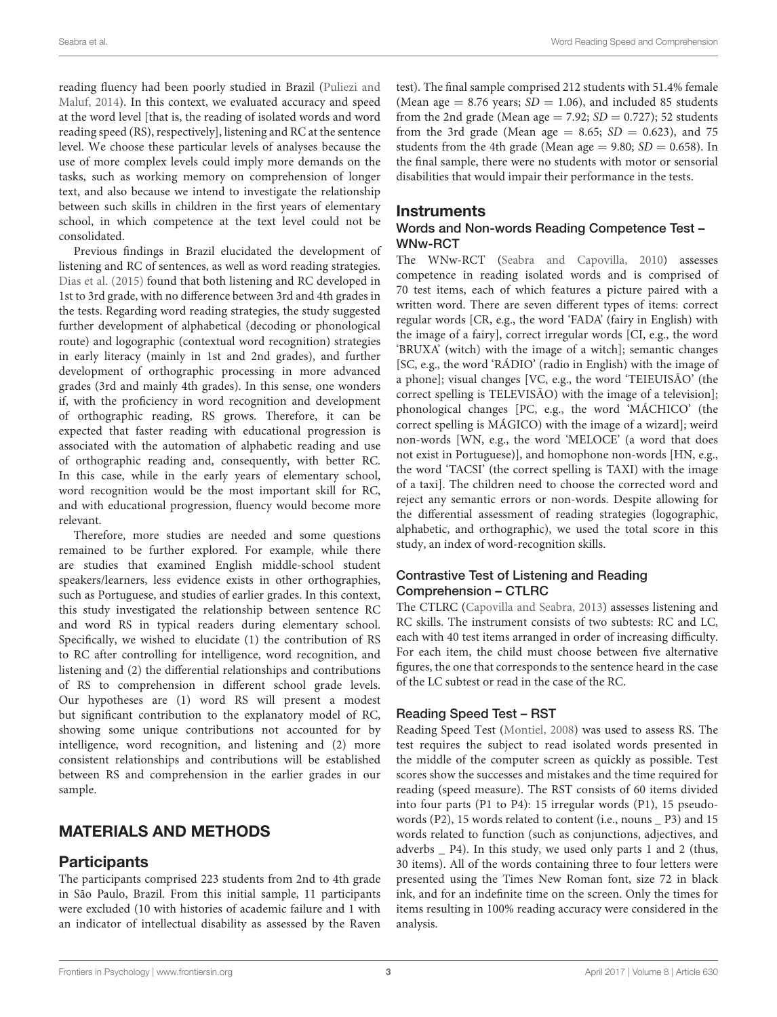reading fluency had been poorly studied in Brazil [\(Puliezi and](#page-6-11) [Maluf,](#page-6-11) [2014\)](#page-6-11). In this context, we evaluated accuracy and speed at the word level [that is, the reading of isolated words and word reading speed (RS), respectively], listening and RC at the sentence level. We choose these particular levels of analyses because the use of more complex levels could imply more demands on the tasks, such as working memory on comprehension of longer text, and also because we intend to investigate the relationship between such skills in children in the first years of elementary school, in which competence at the text level could not be consolidated.

Previous findings in Brazil elucidated the development of listening and RC of sentences, as well as word reading strategies. [Dias et al.](#page-6-12) [\(2015\)](#page-6-12) found that both listening and RC developed in 1st to 3rd grade, with no difference between 3rd and 4th grades in the tests. Regarding word reading strategies, the study suggested further development of alphabetical (decoding or phonological route) and logographic (contextual word recognition) strategies in early literacy (mainly in 1st and 2nd grades), and further development of orthographic processing in more advanced grades (3rd and mainly 4th grades). In this sense, one wonders if, with the proficiency in word recognition and development of orthographic reading, RS grows. Therefore, it can be expected that faster reading with educational progression is associated with the automation of alphabetic reading and use of orthographic reading and, consequently, with better RC. In this case, while in the early years of elementary school, word recognition would be the most important skill for RC, and with educational progression, fluency would become more relevant.

Therefore, more studies are needed and some questions remained to be further explored. For example, while there are studies that examined English middle-school student speakers/learners, less evidence exists in other orthographies, such as Portuguese, and studies of earlier grades. In this context, this study investigated the relationship between sentence RC and word RS in typical readers during elementary school. Specifically, we wished to elucidate (1) the contribution of RS to RC after controlling for intelligence, word recognition, and listening and (2) the differential relationships and contributions of RS to comprehension in different school grade levels. Our hypotheses are (1) word RS will present a modest but significant contribution to the explanatory model of RC, showing some unique contributions not accounted for by intelligence, word recognition, and listening and (2) more consistent relationships and contributions will be established between RS and comprehension in the earlier grades in our sample.

# MATERIALS AND METHODS

# **Participants**

The participants comprised 223 students from 2nd to 4th grade in São Paulo, Brazil. From this initial sample, 11 participants were excluded (10 with histories of academic failure and 1 with an indicator of intellectual disability as assessed by the Raven

test). The final sample comprised 212 students with 51.4% female (Mean age  $= 8.76$  years;  $SD = 1.06$ ), and included 85 students from the 2nd grade (Mean age  $= 7.92$ ;  $SD = 0.727$ ); 52 students from the 3rd grade (Mean age  $= 8.65$ ;  $SD = 0.623$ ), and 75 students from the 4th grade (Mean age =  $9.80$ ;  $SD = 0.658$ ). In the final sample, there were no students with motor or sensorial disabilities that would impair their performance in the tests.

#### **Instruments**

#### Words and Non-words Reading Competence Test – WNw-RCT

The WNw-RCT [\(Seabra and Capovilla,](#page-6-13) [2010\)](#page-6-13) assesses competence in reading isolated words and is comprised of 70 test items, each of which features a picture paired with a written word. There are seven different types of items: correct regular words [CR, e.g., the word 'FADA' (fairy in English) with the image of a fairy], correct irregular words [CI, e.g., the word 'BRUXA' (witch) with the image of a witch]; semantic changes [SC, e.g., the word 'RÁDIO' (radio in English) with the image of a phone]; visual changes [VC, e.g., the word 'TEIEUISÃO' (the correct spelling is TELEVISÃO) with the image of a television]; phonological changes [PC, e.g., the word 'MÁCHICO' (the correct spelling is MÁGICO) with the image of a wizard]; weird non-words [WN, e.g., the word 'MELOCE' (a word that does not exist in Portuguese)], and homophone non-words [HN, e.g., the word 'TACSI' (the correct spelling is TAXI) with the image of a taxi]. The children need to choose the corrected word and reject any semantic errors or non-words. Despite allowing for the differential assessment of reading strategies (logographic, alphabetic, and orthographic), we used the total score in this study, an index of word-recognition skills.

#### Contrastive Test of Listening and Reading Comprehension – CTLRC

The CTLRC [\(Capovilla and Seabra,](#page-6-14) [2013\)](#page-6-14) assesses listening and RC skills. The instrument consists of two subtests: RC and LC, each with 40 test items arranged in order of increasing difficulty. For each item, the child must choose between five alternative figures, the one that corresponds to the sentence heard in the case of the LC subtest or read in the case of the RC.

#### Reading Speed Test – RST

Reading Speed Test [\(Montiel,](#page-6-15) [2008\)](#page-6-15) was used to assess RS. The test requires the subject to read isolated words presented in the middle of the computer screen as quickly as possible. Test scores show the successes and mistakes and the time required for reading (speed measure). The RST consists of 60 items divided into four parts (P1 to P4): 15 irregular words (P1), 15 pseudowords (P2), 15 words related to content (i.e., nouns \_ P3) and 15 words related to function (such as conjunctions, adjectives, and adverbs \_ P4). In this study, we used only parts 1 and 2 (thus, 30 items). All of the words containing three to four letters were presented using the Times New Roman font, size 72 in black ink, and for an indefinite time on the screen. Only the times for items resulting in 100% reading accuracy were considered in the analysis.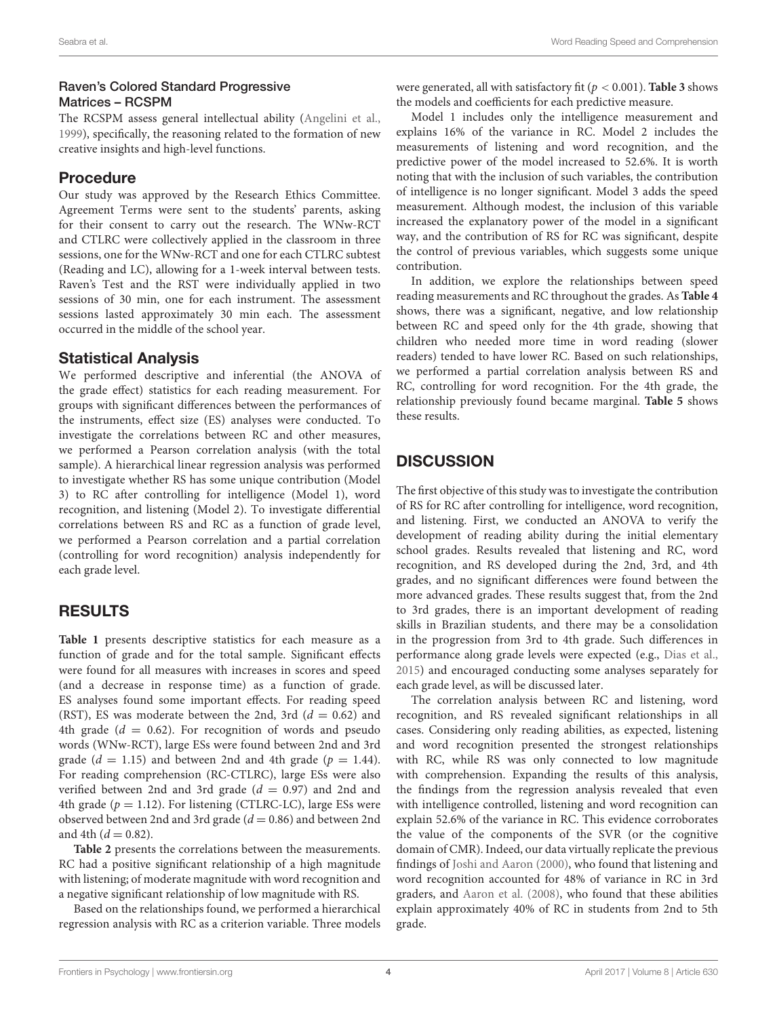#### Raven's Colored Standard Progressive Matrices – RCSPM

The RCSPM assess general intellectual ability [\(Angelini et al.,](#page-6-16) [1999\)](#page-6-16), specifically, the reasoning related to the formation of new creative insights and high-level functions.

## Procedure

Our study was approved by the Research Ethics Committee. Agreement Terms were sent to the students' parents, asking for their consent to carry out the research. The WNw-RCT and CTLRC were collectively applied in the classroom in three sessions, one for the WNw-RCT and one for each CTLRC subtest (Reading and LC), allowing for a 1-week interval between tests. Raven's Test and the RST were individually applied in two sessions of 30 min, one for each instrument. The assessment sessions lasted approximately 30 min each. The assessment occurred in the middle of the school year.

## Statistical Analysis

We performed descriptive and inferential (the ANOVA of the grade effect) statistics for each reading measurement. For groups with significant differences between the performances of the instruments, effect size (ES) analyses were conducted. To investigate the correlations between RC and other measures, we performed a Pearson correlation analysis (with the total sample). A hierarchical linear regression analysis was performed to investigate whether RS has some unique contribution (Model 3) to RC after controlling for intelligence (Model 1), word recognition, and listening (Model 2). To investigate differential correlations between RS and RC as a function of grade level, we performed a Pearson correlation and a partial correlation (controlling for word recognition) analysis independently for each grade level.

# RESULTS

**[Table 1](#page-4-0)** presents descriptive statistics for each measure as a function of grade and for the total sample. Significant effects were found for all measures with increases in scores and speed (and a decrease in response time) as a function of grade. ES analyses found some important effects. For reading speed (RST), ES was moderate between the 2nd, 3rd ( $d = 0.62$ ) and 4th grade ( $d = 0.62$ ). For recognition of words and pseudo words (WNw-RCT), large ESs were found between 2nd and 3rd grade ( $d = 1.15$ ) and between 2nd and 4th grade ( $p = 1.44$ ). For reading comprehension (RC-CTLRC), large ESs were also verified between 2nd and 3rd grade  $(d = 0.97)$  and 2nd and 4th grade ( $p = 1.12$ ). For listening (CTLRC-LC), large ESs were observed between 2nd and 3rd grade ( $d = 0.86$ ) and between 2nd and 4th  $(d = 0.82)$ .

**[Table 2](#page-4-1)** presents the correlations between the measurements. RC had a positive significant relationship of a high magnitude with listening; of moderate magnitude with word recognition and a negative significant relationship of low magnitude with RS.

Based on the relationships found, we performed a hierarchical regression analysis with RC as a criterion variable. Three models were generated, all with satisfactory fit ( $p < 0.001$ ). **[Table 3](#page-5-0)** shows the models and coefficients for each predictive measure.

Model 1 includes only the intelligence measurement and explains 16% of the variance in RC. Model 2 includes the measurements of listening and word recognition, and the predictive power of the model increased to 52.6%. It is worth noting that with the inclusion of such variables, the contribution of intelligence is no longer significant. Model 3 adds the speed measurement. Although modest, the inclusion of this variable increased the explanatory power of the model in a significant way, and the contribution of RS for RC was significant, despite the control of previous variables, which suggests some unique contribution.

In addition, we explore the relationships between speed reading measurements and RC throughout the grades. As **[Table 4](#page-5-1)** shows, there was a significant, negative, and low relationship between RC and speed only for the 4th grade, showing that children who needed more time in word reading (slower readers) tended to have lower RC. Based on such relationships, we performed a partial correlation analysis between RS and RC, controlling for word recognition. For the 4th grade, the relationship previously found became marginal. **[Table 5](#page-5-2)** shows these results.

# **DISCUSSION**

The first objective of this study was to investigate the contribution of RS for RC after controlling for intelligence, word recognition, and listening. First, we conducted an ANOVA to verify the development of reading ability during the initial elementary school grades. Results revealed that listening and RC, word recognition, and RS developed during the 2nd, 3rd, and 4th grades, and no significant differences were found between the more advanced grades. These results suggest that, from the 2nd to 3rd grades, there is an important development of reading skills in Brazilian students, and there may be a consolidation in the progression from 3rd to 4th grade. Such differences in performance along grade levels were expected (e.g., [Dias et al.,](#page-6-12) [2015\)](#page-6-12) and encouraged conducting some analyses separately for each grade level, as will be discussed later.

The correlation analysis between RC and listening, word recognition, and RS revealed significant relationships in all cases. Considering only reading abilities, as expected, listening and word recognition presented the strongest relationships with RC, while RS was only connected to low magnitude with comprehension. Expanding the results of this analysis, the findings from the regression analysis revealed that even with intelligence controlled, listening and word recognition can explain 52.6% of the variance in RC. This evidence corroborates the value of the components of the SVR (or the cognitive domain of CMR). Indeed, our data virtually replicate the previous findings of [Joshi and Aaron](#page-6-5) [\(2000\)](#page-6-5), who found that listening and word recognition accounted for 48% of variance in RC in 3rd graders, and [Aaron et al.](#page-6-3) [\(2008\)](#page-6-3), who found that these abilities explain approximately 40% of RC in students from 2nd to 5th grade.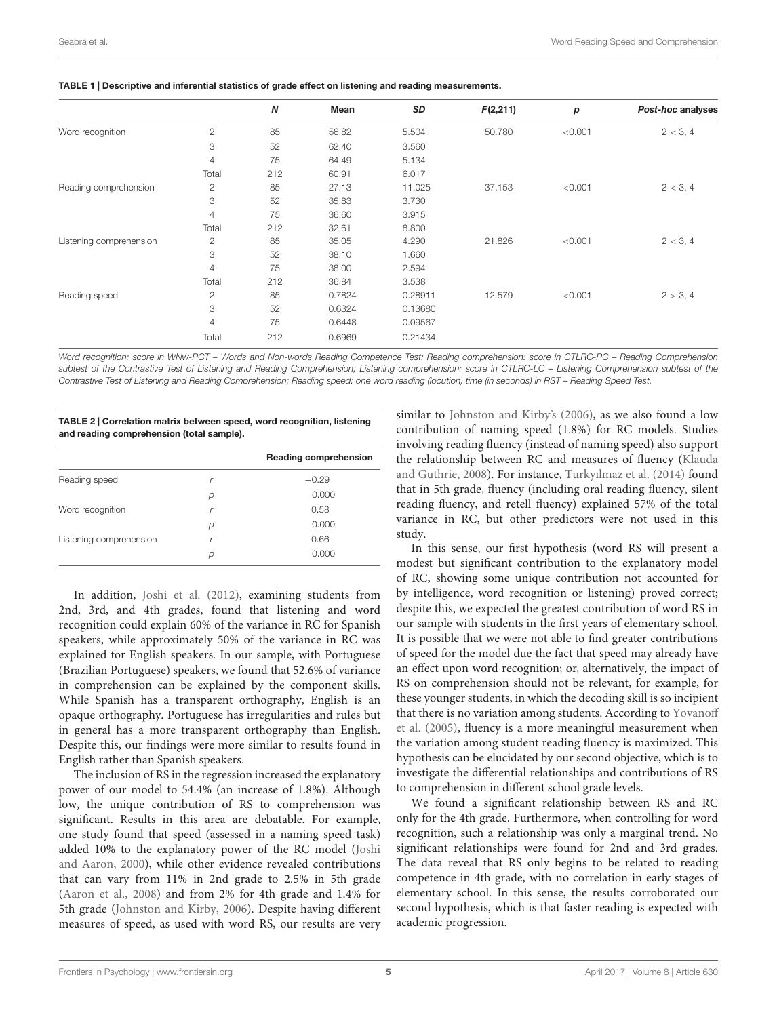|                         |                | N   | Mean   | SD      | F(2,211) | р       | Post-hoc analyses |
|-------------------------|----------------|-----|--------|---------|----------|---------|-------------------|
| Word recognition        | $\mathbf{2}$   | 85  | 56.82  | 5.504   | 50.780   | < 0.001 | 2 < 3, 4          |
|                         | 3              | 52  | 62.40  | 3.560   |          |         |                   |
|                         | $\overline{4}$ | 75  | 64.49  | 5.134   |          |         |                   |
|                         | Total          | 212 | 60.91  | 6.017   |          |         |                   |
| Reading comprehension   | $\overline{c}$ | 85  | 27.13  | 11.025  | 37.153   | < 0.001 | 2 < 3, 4          |
|                         | 3              | 52  | 35.83  | 3.730   |          |         |                   |
|                         | $\overline{4}$ | 75  | 36.60  | 3.915   |          |         |                   |
|                         | Total          | 212 | 32.61  | 8.800   |          |         |                   |
| Listening comprehension | 2              | 85  | 35.05  | 4.290   | 21.826   | < 0.001 | 2 < 3, 4          |
|                         | 3              | 52  | 38.10  | 1.660   |          |         |                   |
|                         | $\overline{4}$ | 75  | 38.00  | 2.594   |          |         |                   |
|                         | Total          | 212 | 36.84  | 3.538   |          |         |                   |
| Reading speed           | $\overline{2}$ | 85  | 0.7824 | 0.28911 | 12.579   | < 0.001 | 2 > 3, 4          |
|                         | 3              | 52  | 0.6324 | 0.13680 |          |         |                   |
|                         | $\overline{4}$ | 75  | 0.6448 | 0.09567 |          |         |                   |
|                         | Total          | 212 | 0.6969 | 0.21434 |          |         |                   |
|                         |                |     |        |         |          |         |                   |

<span id="page-4-0"></span>TABLE 1 | Descriptive and inferential statistics of grade effect on listening and reading measurements.

Word recognition: score in WNw-RCT – Words and Non-words Reading Competence Test; Reading comprehension: score in CTLRC-RC – Reading Comprehension subtest of the Contrastive Test of Listening and Reading Comprehension; Listening comprehension: score in CTLRC-LC - Listening Comprehension subtest of the Contrastive Test of Listening and Reading Comprehension; Reading speed: one word reading (locution) time (in seconds) in RST – Reading Speed Test.

<span id="page-4-1"></span>TABLE 2 | Correlation matrix between speed, word recognition, listening and reading comprehension (total sample).

|                         |   | Reading comprehension |
|-------------------------|---|-----------------------|
| Reading speed           | r | $-0.29$               |
|                         | р | 0.000                 |
| Word recognition        | r | 0.58                  |
|                         | p | 0.000                 |
| Listening comprehension |   | 0.66                  |
|                         | D | 0.000                 |

In addition, [Joshi et al.](#page-6-4) [\(2012\)](#page-6-4), examining students from 2nd, 3rd, and 4th grades, found that listening and word recognition could explain 60% of the variance in RC for Spanish speakers, while approximately 50% of the variance in RC was explained for English speakers. In our sample, with Portuguese (Brazilian Portuguese) speakers, we found that 52.6% of variance in comprehension can be explained by the component skills. While Spanish has a transparent orthography, English is an opaque orthography. Portuguese has irregularities and rules but in general has a more transparent orthography than English. Despite this, our findings were more similar to results found in English rather than Spanish speakers.

The inclusion of RS in the regression increased the explanatory power of our model to 54.4% (an increase of 1.8%). Although low, the unique contribution of RS to comprehension was significant. Results in this area are debatable. For example, one study found that speed (assessed in a naming speed task) added 10% to the explanatory power of the RC model [\(Joshi](#page-6-5) [and Aaron,](#page-6-5) [2000\)](#page-6-5), while other evidence revealed contributions that can vary from 11% in 2nd grade to 2.5% in 5th grade [\(Aaron et al.,](#page-6-3) [2008\)](#page-6-3) and from 2% for 4th grade and 1.4% for 5th grade [\(Johnston and Kirby,](#page-6-6) [2006\)](#page-6-6). Despite having different measures of speed, as used with word RS, our results are very

similar to [Johnston and Kirby's](#page-6-6) [\(2006\)](#page-6-6), as we also found a low contribution of naming speed (1.8%) for RC models. Studies involving reading fluency (instead of naming speed) also support the relationship between RC and measures of fluency [\(Klauda](#page-6-8) [and Guthrie,](#page-6-8) [2008\)](#page-6-8). For instance, [Turkyılmaz et al.](#page-6-7) [\(2014\)](#page-6-7) found that in 5th grade, fluency (including oral reading fluency, silent reading fluency, and retell fluency) explained 57% of the total variance in RC, but other predictors were not used in this study.

In this sense, our first hypothesis (word RS will present a modest but significant contribution to the explanatory model of RC, showing some unique contribution not accounted for by intelligence, word recognition or listening) proved correct; despite this, we expected the greatest contribution of word RS in our sample with students in the first years of elementary school. It is possible that we were not able to find greater contributions of speed for the model due the fact that speed may already have an effect upon word recognition; or, alternatively, the impact of RS on comprehension should not be relevant, for example, for these younger students, in which the decoding skill is so incipient that there is no variation among students. According to [Yovanoff](#page-6-17) [et al.](#page-6-17) [\(2005\)](#page-6-17), fluency is a more meaningful measurement when the variation among student reading fluency is maximized. This hypothesis can be elucidated by our second objective, which is to investigate the differential relationships and contributions of RS to comprehension in different school grade levels.

We found a significant relationship between RS and RC only for the 4th grade. Furthermore, when controlling for word recognition, such a relationship was only a marginal trend. No significant relationships were found for 2nd and 3rd grades. The data reveal that RS only begins to be related to reading competence in 4th grade, with no correlation in early stages of elementary school. In this sense, the results corroborated our second hypothesis, which is that faster reading is expected with academic progression.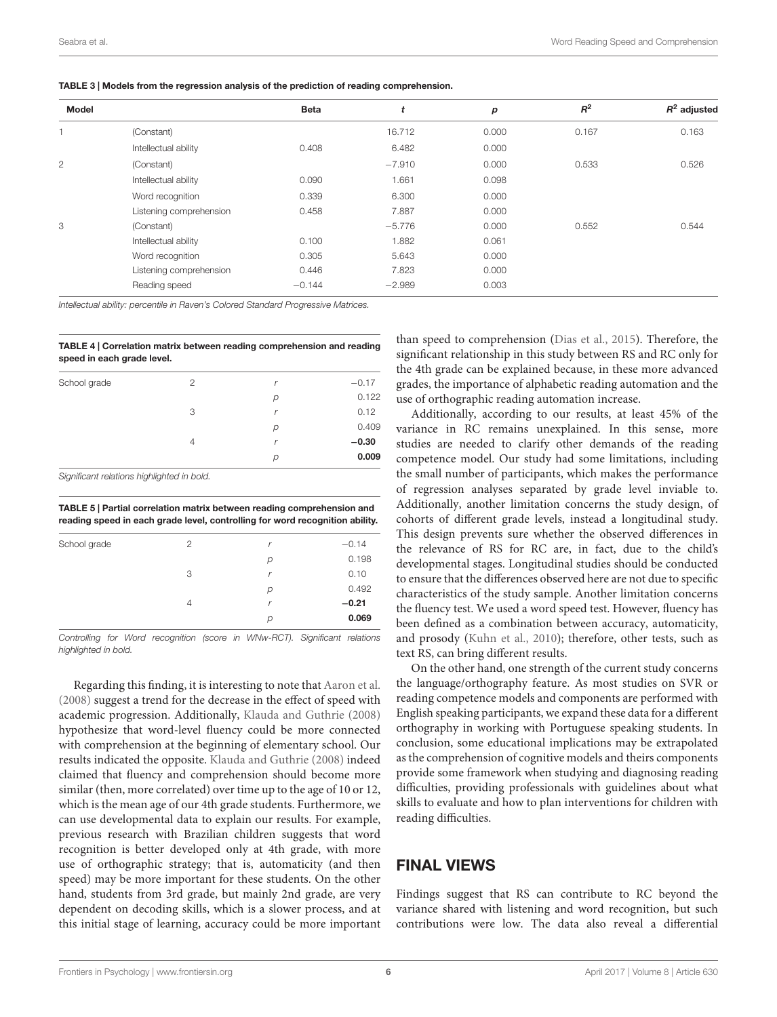<span id="page-5-0"></span>TABLE 3 | Models from the regression analysis of the prediction of reading comprehension.

| Model          |                         | <b>Beta</b> | t        | p     | $R^2$ | $R^2$ adjusted |
|----------------|-------------------------|-------------|----------|-------|-------|----------------|
| $\overline{1}$ | (Constant)              |             | 16.712   | 0.000 | 0.167 | 0.163          |
|                | Intellectual ability    | 0.408       | 6.482    | 0.000 |       |                |
| $\mathbf{2}$   | (Constant)              |             | $-7.910$ | 0.000 | 0.533 | 0.526          |
|                | Intellectual ability    | 0.090       | 1.661    | 0.098 |       |                |
|                | Word recognition        | 0.339       | 6.300    | 0.000 |       |                |
|                | Listening comprehension | 0.458       | 7.887    | 0.000 |       |                |
| 3              | (Constant)              |             | $-5.776$ | 0.000 | 0.552 | 0.544          |
|                | Intellectual ability    | 0.100       | 1.882    | 0.061 |       |                |
|                | Word recognition        | 0.305       | 5.643    | 0.000 |       |                |
|                | Listening comprehension | 0.446       | 7.823    | 0.000 |       |                |
|                | Reading speed           | $-0.144$    | $-2.989$ | 0.003 |       |                |

Intellectual ability: percentile in Raven's Colored Standard Progressive Matrices.

<span id="page-5-1"></span>TABLE 4 | Correlation matrix between reading comprehension and reading speed in each grade level.

| School grade | 2              | r | $-0.17$ |
|--------------|----------------|---|---------|
|              |                | р | 0.122   |
|              | 3              |   | 0.12    |
|              |                | р | 0.409   |
|              | $\overline{4}$ |   | $-0.30$ |
|              |                | р | 0.009   |
|              |                |   |         |

Significant relations highlighted in bold.

<span id="page-5-2"></span>TABLE 5 | Partial correlation matrix between reading comprehension and reading speed in each grade level, controlling for word recognition ability.

| School grade | 2 | r | $-0.14$ |
|--------------|---|---|---------|
|              |   | р | 0.198   |
|              | 3 | r | 0.10    |
|              |   | р | 0.492   |
|              | 4 | r | $-0.21$ |
|              |   | р | 0.069   |

Controlling for Word recognition (score in WNw-RCT). Significant relations highlighted in bold.

Regarding this finding, it is interesting to note that [Aaron et al.](#page-6-3) [\(2008\)](#page-6-3) suggest a trend for the decrease in the effect of speed with academic progression. Additionally, [Klauda and Guthrie](#page-6-8) [\(2008\)](#page-6-8) hypothesize that word-level fluency could be more connected with comprehension at the beginning of elementary school. Our results indicated the opposite. [Klauda and Guthrie](#page-6-8) [\(2008\)](#page-6-8) indeed claimed that fluency and comprehension should become more similar (then, more correlated) over time up to the age of 10 or 12, which is the mean age of our 4th grade students. Furthermore, we can use developmental data to explain our results. For example, previous research with Brazilian children suggests that word recognition is better developed only at 4th grade, with more use of orthographic strategy; that is, automaticity (and then speed) may be more important for these students. On the other hand, students from 3rd grade, but mainly 2nd grade, are very dependent on decoding skills, which is a slower process, and at this initial stage of learning, accuracy could be more important

than speed to comprehension [\(Dias et al.,](#page-6-12) [2015\)](#page-6-12). Therefore, the significant relationship in this study between RS and RC only for the 4th grade can be explained because, in these more advanced grades, the importance of alphabetic reading automation and the use of orthographic reading automation increase.

Additionally, according to our results, at least 45% of the variance in RC remains unexplained. In this sense, more studies are needed to clarify other demands of the reading competence model. Our study had some limitations, including the small number of participants, which makes the performance of regression analyses separated by grade level inviable to. Additionally, another limitation concerns the study design, of cohorts of different grade levels, instead a longitudinal study. This design prevents sure whether the observed differences in the relevance of RS for RC are, in fact, due to the child's developmental stages. Longitudinal studies should be conducted to ensure that the differences observed here are not due to specific characteristics of the study sample. Another limitation concerns the fluency test. We used a word speed test. However, fluency has been defined as a combination between accuracy, automaticity, and prosody [\(Kuhn et al.,](#page-6-1) [2010\)](#page-6-1); therefore, other tests, such as text RS, can bring different results.

On the other hand, one strength of the current study concerns the language/orthography feature. As most studies on SVR or reading competence models and components are performed with English speaking participants, we expand these data for a different orthography in working with Portuguese speaking students. In conclusion, some educational implications may be extrapolated as the comprehension of cognitive models and theirs components provide some framework when studying and diagnosing reading difficulties, providing professionals with guidelines about what skills to evaluate and how to plan interventions for children with reading difficulties.

# FINAL VIEWS

Findings suggest that RS can contribute to RC beyond the variance shared with listening and word recognition, but such contributions were low. The data also reveal a differential